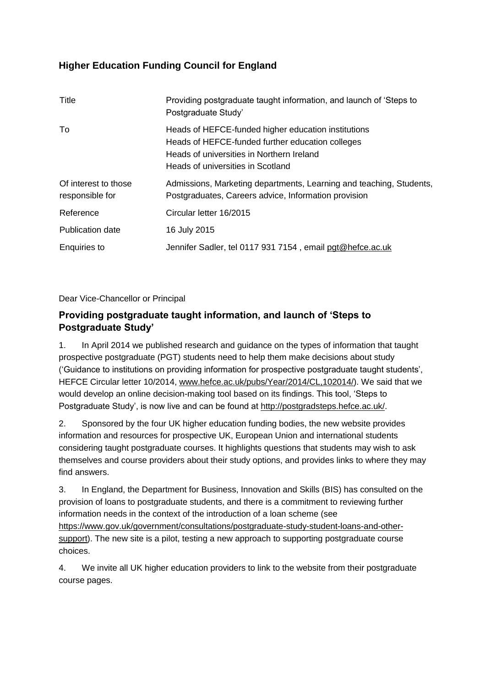# **Higher Education Funding Council for England**

| Title                                   | Providing postgraduate taught information, and launch of 'Steps to<br>Postgraduate Study'                                                                                                 |
|-----------------------------------------|-------------------------------------------------------------------------------------------------------------------------------------------------------------------------------------------|
| To                                      | Heads of HEFCE-funded higher education institutions<br>Heads of HEFCE-funded further education colleges<br>Heads of universities in Northern Ireland<br>Heads of universities in Scotland |
| Of interest to those<br>responsible for | Admissions, Marketing departments, Learning and teaching, Students,<br>Postgraduates, Careers advice, Information provision                                                               |
| Reference                               | Circular letter 16/2015                                                                                                                                                                   |
| <b>Publication date</b>                 | 16 July 2015                                                                                                                                                                              |
| <b>Enquiries to</b>                     | Jennifer Sadler, tel 0117 931 7154, email pgt@hefce.ac.uk                                                                                                                                 |

Dear Vice-Chancellor or Principal

## **Providing postgraduate taught information, and launch of 'Steps to Postgraduate Study'**

1. In April 2014 we published research and guidance on the types of information that taught prospective postgraduate (PGT) students need to help them make decisions about study ('Guidance to institutions on providing information for prospective postgraduate taught students', HEFCE Circular letter 10/2014, [www.hefce.ac.uk/pubs/Year/2014/CL,102014/\)](http://www.hefce.ac.uk/pubs/Year/2014/CL,102014/). We said that we would develop an online decision-making tool based on its findings. This tool, 'Steps to Postgraduate Study', is now live and can be found at [http://postgradsteps.hefce.ac.uk/.](http://postgradsteps.hefce.ac.uk/)

2. Sponsored by the four UK higher education funding bodies, the new website provides information and resources for prospective UK, European Union and international students considering taught postgraduate courses. It highlights questions that students may wish to ask themselves and course providers about their study options, and provides links to where they may find answers.

3. In England, the Department for Business, Innovation and Skills (BIS) has consulted on the provision of loans to postgraduate students, and there is a commitment to reviewing further information needs in the context of the introduction of a loan scheme (see [https://www.gov.uk/government/consultations/postgraduate-study-student-loans-and-other](https://www.gov.uk/government/consultations/postgraduate-study-student-loans-and-other-support)[support\)](https://www.gov.uk/government/consultations/postgraduate-study-student-loans-and-other-support). The new site is a pilot, testing a new approach to supporting postgraduate course choices.

4. We invite all UK higher education providers to link to the website from their postgraduate course pages.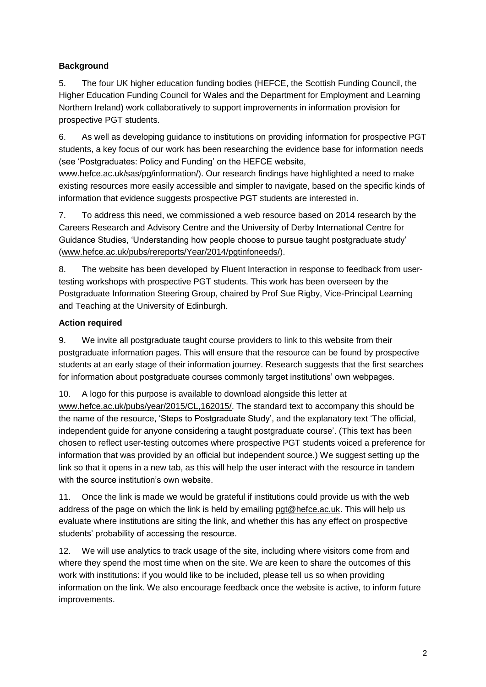### **Background**

5. The four UK higher education funding bodies (HEFCE, the Scottish Funding Council, the Higher Education Funding Council for Wales and the Department for Employment and Learning Northern Ireland) work collaboratively to support improvements in information provision for prospective PGT students.

6. As well as developing guidance to institutions on providing information for prospective PGT students, a key focus of our work has been researching the evidence base for information needs (see 'Postgraduates: Policy and Funding' on the HEFCE website,

[www.hefce.ac.uk/sas/pg/information/\)](http://www.hefce.ac.uk/sas/pg/information/). Our research findings have highlighted a need to make existing resources more easily accessible and simpler to navigate, based on the specific kinds of information that evidence suggests prospective PGT students are interested in.

7. To address this need, we commissioned a web resource based on 2014 research by the Careers Research and Advisory Centre and the University of Derby International Centre for Guidance Studies, 'Understanding how people choose to pursue taught postgraduate study' [\(www.hefce.ac.uk/pubs/rereports/Year/2014/pgtinfoneeds/\)](http://www.hefce.ac.uk/pubs/rereports/Year/2014/pgtinfoneeds/).

8. The website has been developed by Fluent Interaction in response to feedback from usertesting workshops with prospective PGT students. This work has been overseen by the Postgraduate Information Steering Group, chaired by Prof Sue Rigby, Vice-Principal Learning and Teaching at the University of Edinburgh.

### **Action required**

9. We invite all postgraduate taught course providers to link to this website from their postgraduate information pages. This will ensure that the resource can be found by prospective students at an early stage of their information journey. Research suggests that the first searches for information about postgraduate courses commonly target institutions' own webpages.

10. A logo for this purpose is available to download alongside this letter at [www.hefce.ac.uk/pubs/year/2015/CL,162015/.](http://www.hefce.ac.uk/pubs/year/2015/CL,162015/) The standard text to accompany this should be the name of the resource, 'Steps to Postgraduate Study', and the explanatory text 'The official, independent guide for anyone considering a taught postgraduate course'. (This text has been chosen to reflect user-testing outcomes where prospective PGT students voiced a preference for information that was provided by an official but independent source.) We suggest setting up the link so that it opens in a new tab, as this will help the user interact with the resource in tandem with the source institution's own website.

11. Once the link is made we would be grateful if institutions could provide us with the web address of the page on which the link is held by emailing [pgt@hefce.ac.uk.](mailto:pgt@hefce.ac.uk) This will help us evaluate where institutions are siting the link, and whether this has any effect on prospective students' probability of accessing the resource.

12. We will use analytics to track usage of the site, including where visitors come from and where they spend the most time when on the site. We are keen to share the outcomes of this work with institutions: if you would like to be included, please tell us so when providing information on the link. We also encourage feedback once the website is active, to inform future improvements.